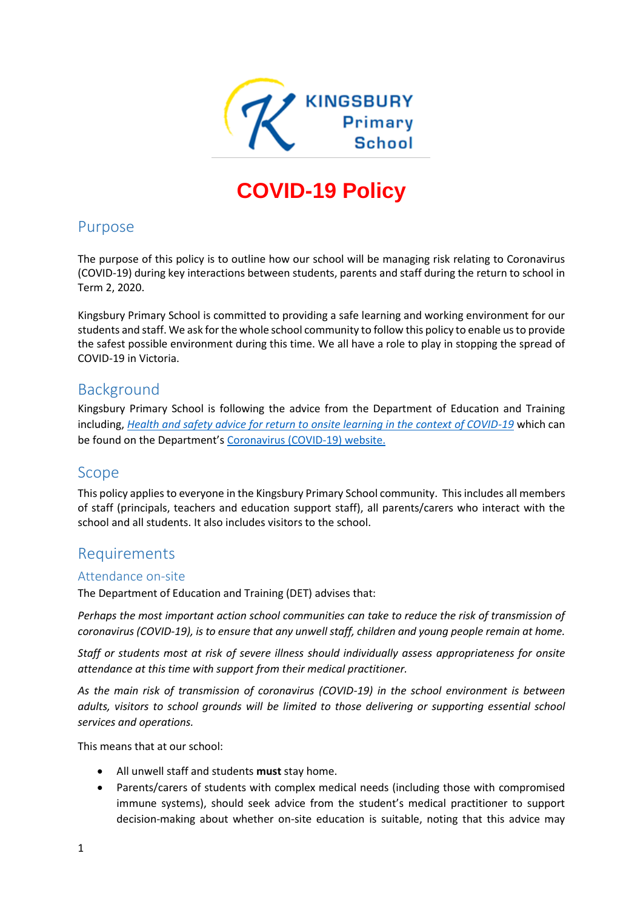

# **COVID-19 Policy**

## Purpose

The purpose of this policy is to outline how our school will be managing risk relating to Coronavirus (COVID-19) during key interactions between students, parents and staff during the return to school in Term 2, 2020.

Kingsbury Primary School is committed to providing a safe learning and working environment for our students and staff. We ask for the whole school community to follow this policy to enable us to provide the safest possible environment during this time. We all have a role to play in stopping the spread of COVID-19 in Victoria.

# Background

Kingsbury Primary School is following the advice from the Department of Education and Training including, *[Health and safety advice for return to onsite learning in the context of COVID-19](https://www.education.vic.gov.au/Documents/about/department/covid-19/health-and-safety-advice-return-school.pdf)* which can be found on the Department's [Coronavirus \(COVID-19\) website.](file:///C:/Users/08429711/Desktop/SPTP/•%09https:/www.education.vic.gov.au/school/Pages/coronavirus-advice-schools.aspx)

# Scope

This policy applies to everyone in the Kingsbury Primary School community. This includes all members of staff (principals, teachers and education support staff), all parents/carers who interact with the school and all students. It also includes visitors to the school.

# Requirements

#### Attendance on-site

The Department of Education and Training (DET) advises that:

*Perhaps the most important action school communities can take to reduce the risk of transmission of coronavirus (COVID-19), is to ensure that any unwell staff, children and young people remain at home.* 

*Staff or students most at risk of severe illness should individually assess appropriateness for onsite attendance at this time with support from their medical practitioner.*

*As the main risk of transmission of coronavirus (COVID-19) in the school environment is between adults, visitors to school grounds will be limited to those delivering or supporting essential school services and operations.*

This means that at our school:

- All unwell staff and students **must** stay home.
- Parents/carers of students with complex medical needs (including those with compromised immune systems), should seek advice from the student's medical practitioner to support decision-making about whether on-site education is suitable, noting that this advice may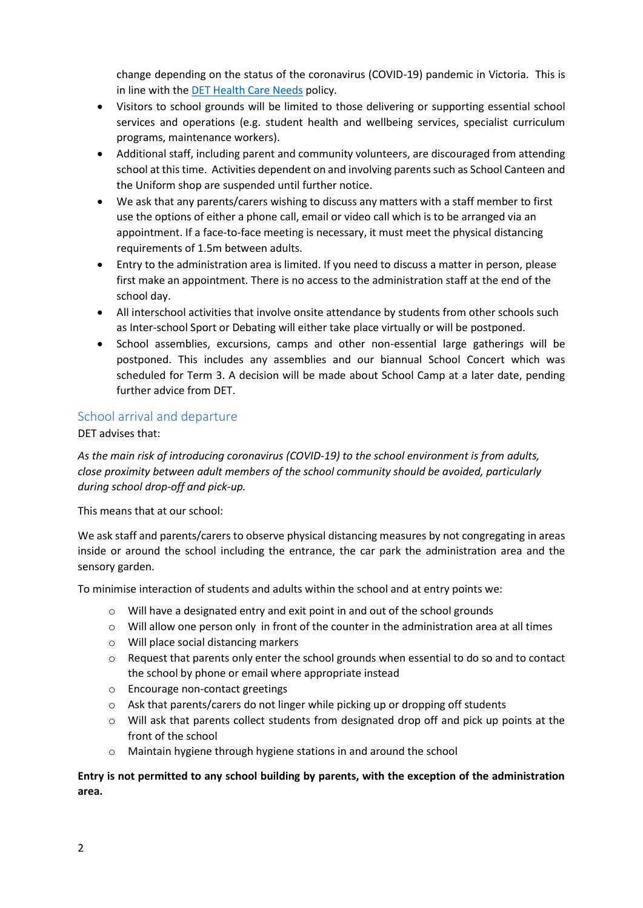change depending on the status of the coronavirus (COVID-19) pandemic in Victoria. This is in line with the [DET Health Care Needs](https://www.education.vic.gov.au/school/principals/spag/health/Pages/healthcareneeds.aspx) policy.

- Visitors to school grounds will be limited to those delivering or supporting essential school services and operations (e.g. student health and wellbeing services, specialist curriculum programs, maintenance workers).
- Additional staff, including parent and community volunteers, are discouraged from attending school at this time. Activities dependent on and involving parents such as School Canteen and the Uniform shop are suspended until further notice.
- We ask that any parents/carers wishing to discuss any matters with a staff member to first use the options of either a phone call, email or video call which is to be arranged via an appointment. If a face-to-face meeting is necessary, it must meet the physical distancing requirements of 1.5m between adults.
- Entry to the administration area is limited. If you need to discuss a matter in person, please first make an appointment. There is no access to the administration staff at the end of the school day.
- All interschool activities that involve onsite attendance by students from other schools such as Inter-school Sport or Debating will either take place virtually or will be postponed.
- School assemblies, excursions, camps and other non-essential large gatherings will be postponed. This includes any assemblies and our biannual School Concert which was scheduled for Term 3. A decision will be made about School Camp at a later date, pending further advice from DET.

#### School arrival and departure

#### DET advises that:

*As the main risk of introducing coronavirus (COVID-19) to the school environment is from adults, close proximity between adult members of the school community should be avoided, particularly during school drop-off and pick-up.*

This means that at our school:

We ask staff and parents/carers to observe physical distancing measures by not congregating in areas inside or around the school including the entrance, the car park the administration area and the sensory garden.

To minimise interaction of students and adults within the school and at entry points we:

- $\circ$  Will have a designated entry and exit point in and out of the school grounds
- $\circ$  Will allow one person only in front of the counter in the administration area at all times
- o Will place social distancing markers
- $\circ$  Request that parents only enter the school grounds when essential to do so and to contact the school by phone or email where appropriate instead
- o Encourage non-contact greetings
- $\circ$  Ask that parents/carers do not linger while picking up or dropping off students
- o Will ask that parents collect students from designated drop off and pick up points at the front of the school
- o Maintain hygiene through hygiene stations in and around the school

#### **Entry is not permitted to any school building by parents, with the exception of the administration area.**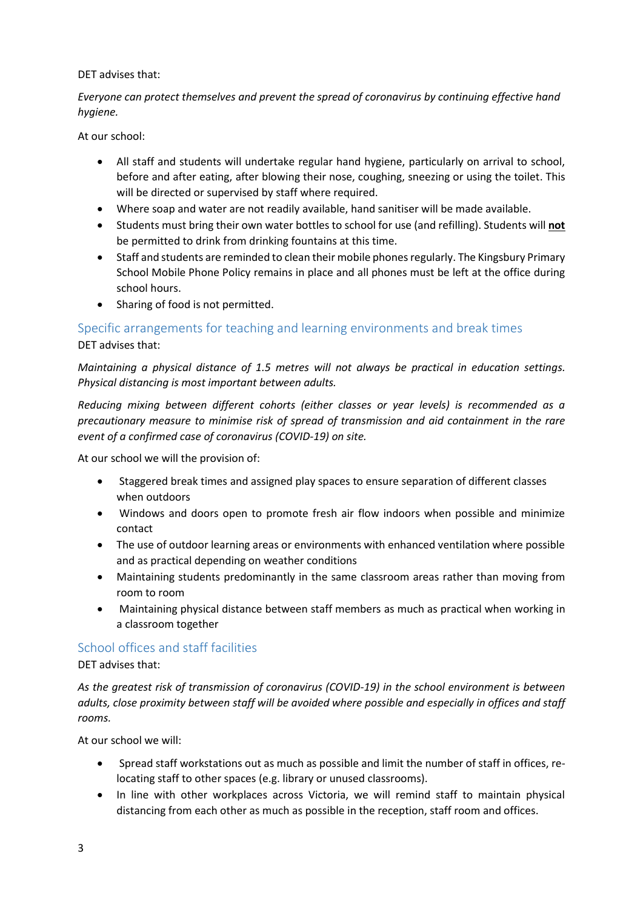#### DET advises that:

*Everyone can protect themselves and prevent the spread of coronavirus by continuing effective hand hygiene.* 

At our school:

- All staff and students will undertake regular hand hygiene, particularly on arrival to school, before and after eating, after blowing their nose, coughing, sneezing or using the toilet. This will be directed or supervised by staff where required.
- Where soap and water are not readily available, hand sanitiser will be made available.
- Students must bring their own water bottles to school for use (and refilling). Students will **not** be permitted to drink from drinking fountains at this time.
- Staff and students are reminded to clean their mobile phones regularly. The Kingsbury Primary School Mobile Phone Policy remains in place and all phones must be left at the office during school hours.
- Sharing of food is not permitted.

## Specific arrangements for teaching and learning environments and break times DET advises that:

*Maintaining a physical distance of 1.5 metres will not always be practical in education settings. Physical distancing is most important between adults.*

*Reducing mixing between different cohorts (either classes or year levels) is recommended as a precautionary measure to minimise risk of spread of transmission and aid containment in the rare event of a confirmed case of coronavirus (COVID-19) on site.*

At our school we will the provision of:

- Staggered break times and assigned play spaces to ensure separation of different classes when outdoors
- Windows and doors open to promote fresh air flow indoors when possible and minimize contact
- The use of outdoor learning areas or environments with enhanced ventilation where possible and as practical depending on weather conditions
- Maintaining students predominantly in the same classroom areas rather than moving from room to room
- Maintaining physical distance between staff members as much as practical when working in a classroom together

#### School offices and staff facilities

DET advises that:

*As the greatest risk of transmission of coronavirus (COVID-19) in the school environment is between adults, close proximity between staff will be avoided where possible and especially in offices and staff rooms.*

At our school we will:

- Spread staff workstations out as much as possible and limit the number of staff in offices, relocating staff to other spaces (e.g. library or unused classrooms).
- In line with other workplaces across Victoria, we will remind staff to maintain physical distancing from each other as much as possible in the reception, staff room and offices.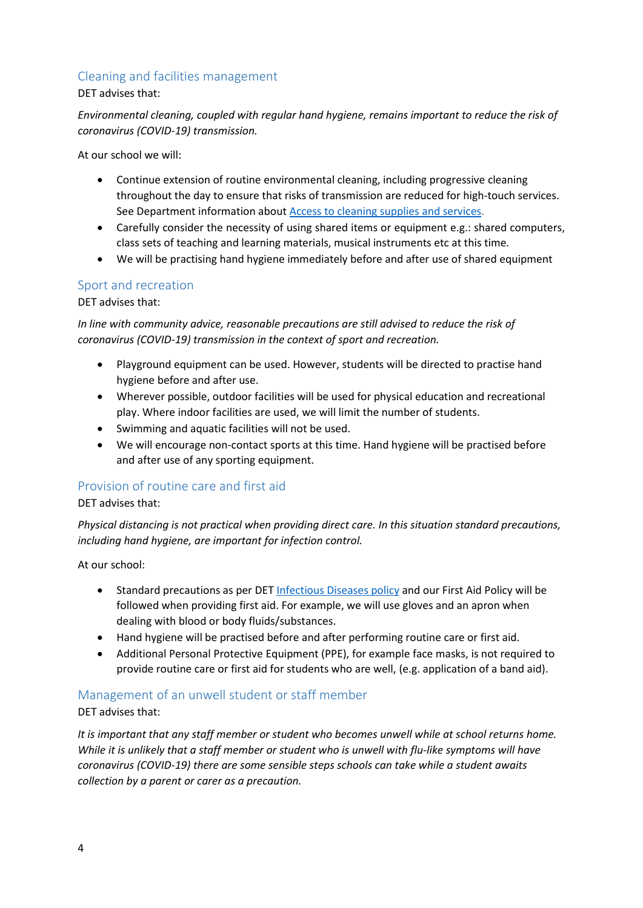### Cleaning and facilities management

DET advises that:

*Environmental cleaning, coupled with regular hand hygiene, remains important to reduce the risk of coronavirus (COVID-19) transmission.*

At our school we will:

- Continue extension of routine environmental cleaning, including progressive cleaning throughout the day to ensure that risks of transmission are reduced for high-touch services. See Department information about [Access to cleaning supplies and services.](https://www.education.vic.gov.au/school/teachers/management/infrastructure/Pages/cleaningsupplies.aspx)
- Carefully consider the necessity of using shared items or equipment e.g.: shared computers, class sets of teaching and learning materials, musical instruments etc at this time.
- We will be practising hand hygiene immediately before and after use of shared equipment

#### Sport and recreation

DET advises that:

*In line with community advice, reasonable precautions are still advised to reduce the risk of coronavirus (COVID-19) transmission in the context of sport and recreation.*

- Playground equipment can be used. However, students will be directed to practise hand hygiene before and after use.
- Wherever possible, outdoor facilities will be used for physical education and recreational play. Where indoor facilities are used, we will limit the number of students.
- Swimming and aquatic facilities will not be used.
- We will encourage non-contact sports at this time. Hand hygiene will be practised before and after use of any sporting equipment.

## Provision of routine care and first aid

DET advises that:

*Physical distancing is not practical when providing direct care. In this situation standard precautions, including hand hygiene, are important for infection control.*

At our school:

- Standard precautions as per DET [Infectious Diseases](https://www.education.vic.gov.au/school/principals/spag/health/pages/infectiousdiseases.aspx) policy and our First Aid Policy will be followed when providing first aid. For example, we will use gloves and an apron when dealing with blood or body fluids/substances.
- Hand hygiene will be practised before and after performing routine care or first aid.
- Additional Personal Protective Equipment (PPE), for example face masks, is not required to provide routine care or first aid for students who are well, (e.g. application of a band aid).

## Management of an unwell student or staff member

DET advises that:

*It is important that any staff member or student who becomes unwell while at school returns home. While it is unlikely that a staff member or student who is unwell with flu-like symptoms will have coronavirus (COVID-19) there are some sensible steps schools can take while a student awaits collection by a parent or carer as a precaution.*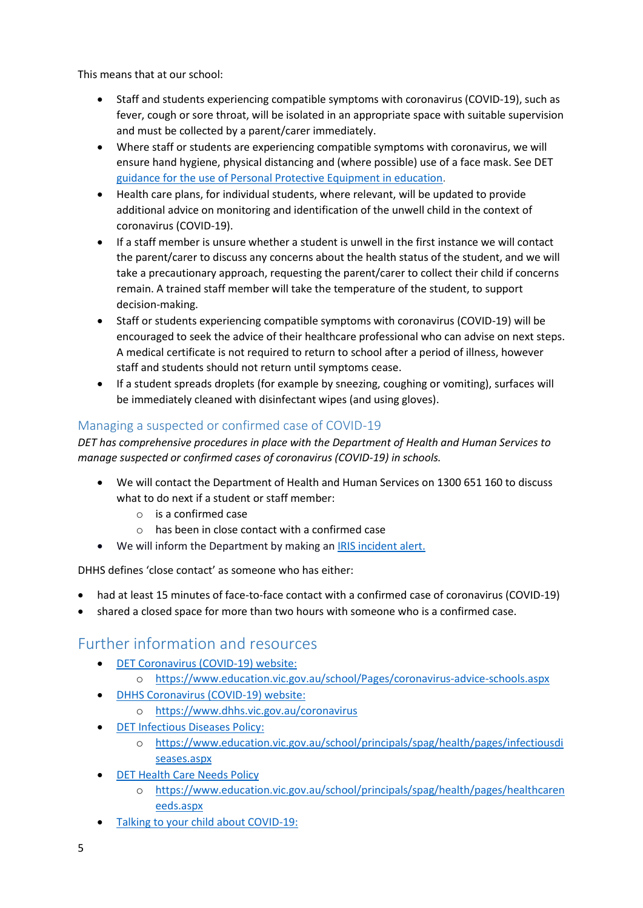This means that at our school:

- Staff and students experiencing compatible symptoms with coronavirus (COVID-19), such as fever, cough or sore throat, will be isolated in an appropriate space with suitable supervision and must be collected by a parent/carer immediately.
- Where staff or students are experiencing compatible symptoms with coronavirus, we will ensure hand hygiene, physical distancing and (where possible) use of a face mask. See DET [guidance for the use of Personal Protective Equipment in education.](https://edugate.eduweb.vic.gov.au/sites/i/_layouts/15/WopiFrame.aspx?sourcedoc=/sites/i/Shared%20Documents/Guidance-for-the-use-of-PPE-in-education-settings.docx&action=default)
- Health care plans, for individual students, where relevant, will be updated to provide additional advice on monitoring and identification of the unwell child in the context of coronavirus (COVID-19).
- If a staff member is unsure whether a student is unwell in the first instance we will contact the parent/carer to discuss any concerns about the health status of the student, and we will take a precautionary approach, requesting the parent/carer to collect their child if concerns remain. A trained staff member will take the temperature of the student, to support decision-making.
- Staff or students experiencing compatible symptoms with coronavirus (COVID-19) will be encouraged to seek the advice of their healthcare professional who can advise on next steps. A medical certificate is not required to return to school after a period of illness, however staff and students should not return until symptoms cease.
- If a student spreads droplets (for example by sneezing, coughing or vomiting), surfaces will be immediately cleaned with disinfectant wipes (and using gloves).

# Managing a suspected or confirmed case of COVID-19

*DET has comprehensive procedures in place with the Department of Health and Human Services to manage suspected or confirmed cases of coronavirus (COVID-19) in schools.*

- We will contact the Department of Health and Human Services on 1300 651 160 to discuss what to do next if a student or staff member:
	- o is a confirmed case
	- $\circ$  has been in close contact with a confirmed case
- We will inform the Department by making a[n IRIS incident alert.](https://www.eduweb.vic.gov.au/iris/ctrESMMain.asp)

DHHS defines 'close contact' as someone who has either:

- had at least 15 minutes of face-to-face contact with a confirmed case of coronavirus (COVID-19)
- shared a closed space for more than two hours with someone who is a confirmed case.

# Further information and resources

- [DET Coronavirus \(COVID-19\) website:](https://education.vic.gov.au/about/department/Pages/coronavirus.aspx)
	- o <https://www.education.vic.gov.au/school/Pages/coronavirus-advice-schools.aspx>
- [DHHS Coronavirus \(COVID-19\) website:](https://www.dhhs.vic.gov.au/coronavirus)
	- o <https://www.dhhs.vic.gov.au/coronavirus>
- [DET Infectious Diseases Policy:](https://www.education.vic.gov.au/school/principals/spag/health/pages/infectiousdiseases.aspx)
	- o [https://www.education.vic.gov.au/school/principals/spag/health/pages/infectiousdi](https://www.education.vic.gov.au/school/principals/spag/health/pages/infectiousdiseases.aspx) [seases.aspx](https://www.education.vic.gov.au/school/principals/spag/health/pages/infectiousdiseases.aspx)
- **[DET Health Care Needs Policy](https://www.education.vic.gov.au/school/principals/spag/health/pages/healthcareneeds.aspx)** 
	- o [https://www.education.vic.gov.au/school/principals/spag/health/pages/healthcaren](https://www.education.vic.gov.au/school/principals/spag/health/pages/healthcareneeds.aspx) [eeds.aspx](https://www.education.vic.gov.au/school/principals/spag/health/pages/healthcareneeds.aspx)
- [Talking to your child about COVID-19:](https://www.education.vic.gov.au/Documents/about/department/covid-19/talking-to-your-child-during-coronavirus.docx)